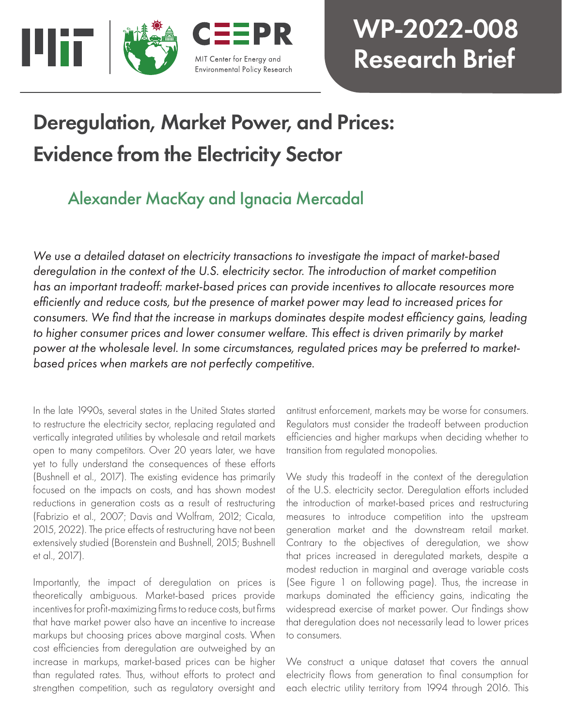

# WP-2022-008 Research Brief

# Deregulation, Market Power, and Prices: Evidence from the Electricity Sector

## Alexander MacKay and Ignacia Mercadal

*We use a detailed dataset on electricity transactions to investigate the impact of market-based deregulation in the context of the U.S. electricity sector. The introduction of market competition has an important tradeoff: market-based prices can provide incentives to allocate resources more efficiently and reduce costs, but the presence of market power may lead to increased prices for consumers. We find that the increase in markups dominates despite modest efficiency gains, leading to higher consumer prices and lower consumer welfare. This effect is driven primarily by market power at the wholesale level. In some circumstances, regulated prices may be preferred to marketbased prices when markets are not perfectly competitive.*

In the late 1990s, several states in the United States started to restructure the electricity sector, replacing regulated and vertically integrated utilities by wholesale and retail markets open to many competitors. Over 20 years later, we have yet to fully understand the consequences of these efforts (Bushnell et al., 2017). The existing evidence has primarily focused on the impacts on costs, and has shown modest reductions in generation costs as a result of restructuring (Fabrizio et al., 2007; Davis and Wolfram, 2012; Cicala, 2015, 2022). The price effects of restructuring have not been extensively studied (Borenstein and Bushnell, 2015; Bushnell et al., 2017).

Importantly, the impact of deregulation on prices is theoretically ambiguous. Market-based prices provide incentives for profit-maximizing firms to reduce costs, but firms that have market power also have an incentive to increase markups but choosing prices above marginal costs. When cost efficiencies from deregulation are outweighed by an increase in markups, market-based prices can be higher than regulated rates. Thus, without efforts to protect and strengthen competition, such as regulatory oversight and

antitrust enforcement, markets may be worse for consumers. Regulators must consider the tradeoff between production efficiencies and higher markups when deciding whether to transition from regulated monopolies.

We study this tradeoff in the context of the deregulation of the U.S. electricity sector. Deregulation efforts included the introduction of market-based prices and restructuring measures to introduce competition into the upstream generation market and the downstream retail market. Contrary to the objectives of deregulation, we show that prices increased in deregulated markets, despite a modest reduction in marginal and average variable costs (See Figure 1 on following page). Thus, the increase in markups dominated the efficiency gains, indicating the widespread exercise of market power. Our findings show that deregulation does not necessarily lead to lower prices to consumers.

We construct a unique dataset that covers the annual electricity flows from generation to final consumption for each electric utility territory from 1994 through 2016. This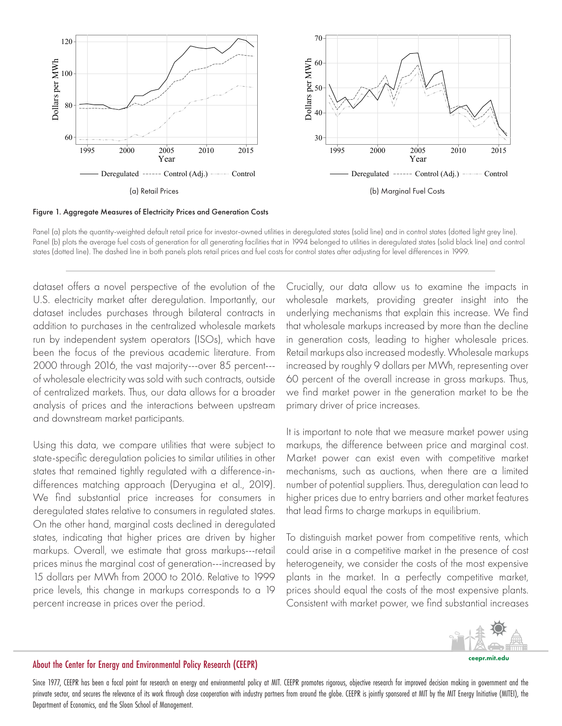

Figure 1. Aggregate Measures of Electricity Prices and Generation Costs

Panel (a) plots the quantity-weighted default retail price for investor-owned utilities in deregulated states (solid line) and in control states (dotted light grey line). Panel (b) plots the average fuel costs of generation for all generating facilities that in 1994 belonged to utilities in deregulated states (solid black line) and control states (dotted line). The dashed line in both panels plots retail prices and fuel costs for control states after adjusting for level differences in 1999.

dataset offers a novel perspective of the evolution of the U.S. electricity market after deregulation. Importantly, our dataset includes purchases through bilateral contracts in addition to purchases in the centralized wholesale markets run by independent system operators (ISOs), which have been the focus of the previous academic literature. From 2000 through 2016, the vast majority---over 85 percent-- of wholesale electricity was sold with such contracts, outside of centralized markets. Thus, our data allows for a broader analysis of prices and the interactions between upstream and downstream market participants.

Using this data, we compare utilities that were subject to state-specific deregulation policies to similar utilities in other states that remained tightly regulated with a difference-indifferences matching approach (Deryugina et al., 2019). We find substantial price increases for consumers in deregulated states relative to consumers in regulated states. On the other hand, marginal costs declined in deregulated states, indicating that higher prices are driven by higher markups. Overall, we estimate that gross markups---retail prices minus the marginal cost of generation---increased by 15 dollars per MWh from 2000 to 2016. Relative to 1999 price levels, this change in markups corresponds to a 19 percent increase in prices over the period.

Crucially, our data allow us to examine the impacts in wholesale markets, providing greater insight into the underlying mechanisms that explain this increase. We find that wholesale markups increased by more than the decline in generation costs, leading to higher wholesale prices. Retail markups also increased modestly. Wholesale markups increased by roughly 9 dollars per MWh, representing over 60 percent of the overall increase in gross markups. Thus, we find market power in the generation market to be the primary driver of price increases.

It is important to note that we measure market power using markups, the difference between price and marginal cost. Market power can exist even with competitive market mechanisms, such as auctions, when there are a limited number of potential suppliers. Thus, deregulation can lead to higher prices due to entry barriers and other market features that lead firms to charge markups in equilibrium.

To distinguish market power from competitive rents, which could arise in a competitive market in the presence of cost heterogeneity, we consider the costs of the most expensive plants in the market. In a perfectly competitive market, prices should equal the costs of the most expensive plants. Consistent with market power, we find substantial increases



#### ceepr.mit.edu

### About the Center for Energy and Environmental Policy Research (CEEPR)

Since 1977, CEEPR has been a focal point for research on energy and environmental policy at MIT. CEEPR promotes rigorous, objective research for improved decision making in government and the prinvate sector, and secures the relevance of its work through close cooperation with industry partners from around the globe. CEEPR is jointly sponsored at MIT by the MIT Energy Initiative (MITEI), the Department of Economics, and the Sloan School of Management.